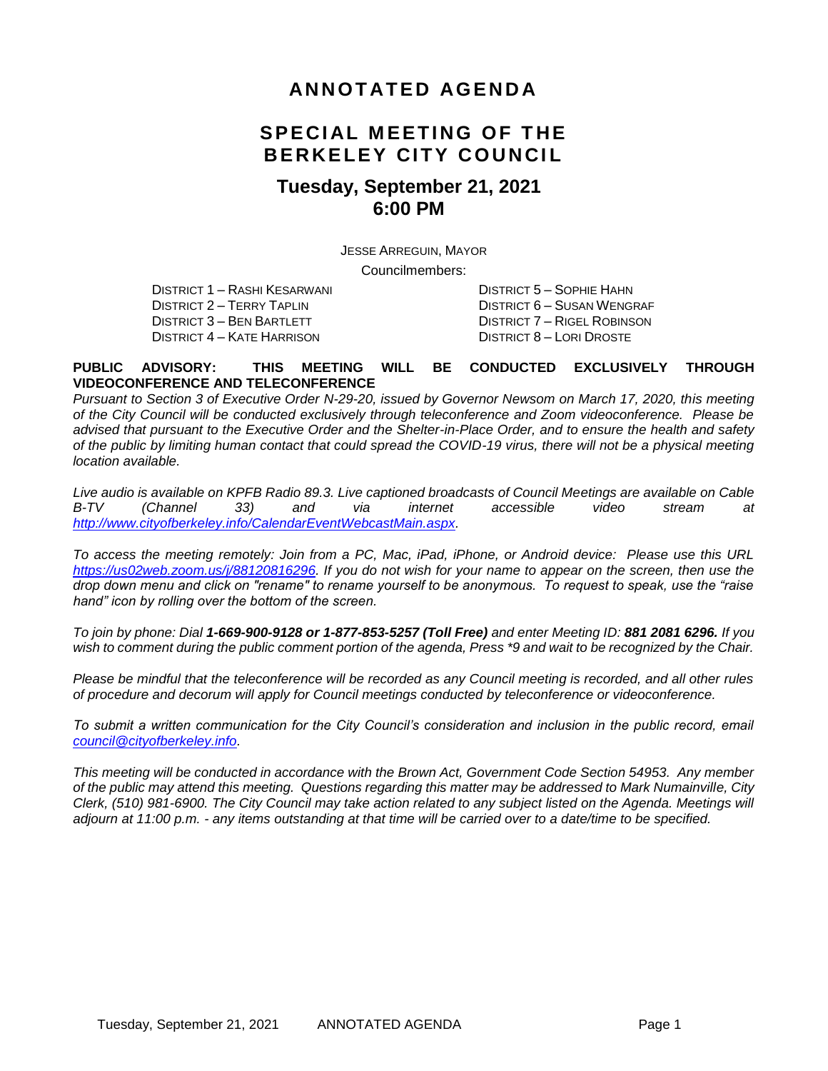### **AN N O T AT E D AG E N D A**

### **S PE CI AL M EET I NG O F T HE BERKELEY CITY COUNCIL**

#### **Tuesday, September 21, 2021 6:00 PM**

JESSE ARREGUIN, MAYOR

Councilmembers:

DISTRICT 1 – RASHI KESARWANI DISTRICT 5 – SOPHIE HAHN DISTRICT 3 – BEN BARTLETT DISTRICT 7 – RIGEL ROBINSON DISTRICT 4 – KATE HARRISON DISTRICT 8 – LORI DROSTE

DISTRICT 6 – SUSAN WENGRAF

#### **PUBLIC ADVISORY: THIS MEETING WILL BE CONDUCTED EXCLUSIVELY THROUGH VIDEOCONFERENCE AND TELECONFERENCE**

*Pursuant to Section 3 of Executive Order N-29-20, issued by Governor Newsom on March 17, 2020, this meeting of the City Council will be conducted exclusively through teleconference and Zoom videoconference. Please be advised that pursuant to the Executive Order and the Shelter-in-Place Order, and to ensure the health and safety of the public by limiting human contact that could spread the COVID-19 virus, there will not be a physical meeting location available.* 

*Live audio is available on KPFB Radio 89.3. Live captioned broadcasts of Council Meetings are available on Cable B-TV (Channel 33) and via internet accessible video stream at [http://www.cityofberkeley.info/CalendarEventWebcastMain.aspx.](http://www.cityofberkeley.info/CalendarEventWebcastMain.aspx)*

*To access the meeting remotely: Join from a PC, Mac, iPad, iPhone, or Android device: Please use this URL [https://us02web.zoom.us/j/88120816296.](https://us02web.zoom.us/j/88120816296) If you do not wish for your name to appear on the screen, then use the drop down menu and click on "rename" to rename yourself to be anonymous. To request to speak, use the "raise hand" icon by rolling over the bottom of the screen.* 

*To join by phone: Dial 1-669-900-9128 or 1-877-853-5257 (Toll Free) and enter Meeting ID: 881 2081 6296. If you*  wish to comment during the public comment portion of the agenda, Press \*9 and wait to be recognized by the Chair.

*Please be mindful that the teleconference will be recorded as any Council meeting is recorded, and all other rules of procedure and decorum will apply for Council meetings conducted by teleconference or videoconference.*

To submit a written communication for the City Council's consideration and inclusion in the public record, email *[council@cityofberkeley.info.](mailto:council@cityofberkeley.info)*

*This meeting will be conducted in accordance with the Brown Act, Government Code Section 54953. Any member of the public may attend this meeting. Questions regarding this matter may be addressed to Mark Numainville, City Clerk, (510) 981-6900. The City Council may take action related to any subject listed on the Agenda. Meetings will adjourn at 11:00 p.m. - any items outstanding at that time will be carried over to a date/time to be specified.*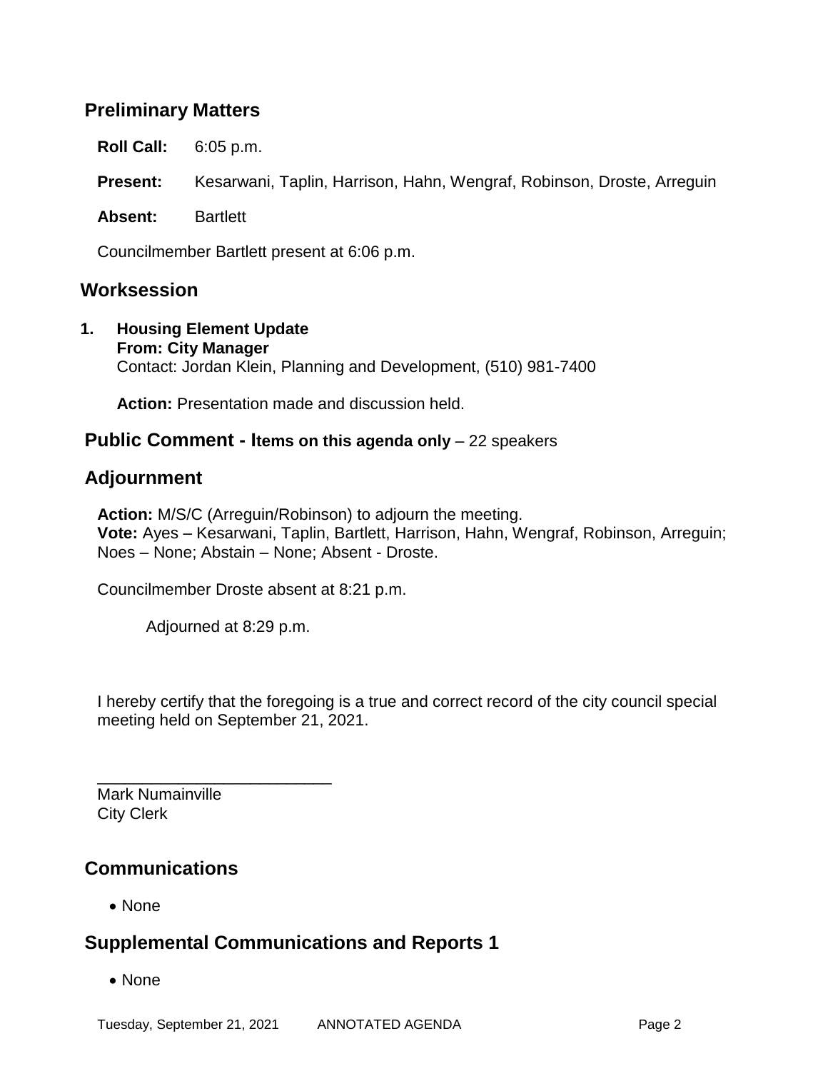### **Preliminary Matters**

**Roll Call:** 6:05 p.m. **Present:** Kesarwani, Taplin, Harrison, Hahn, Wengraf, Robinson, Droste, Arreguin **Absent:** Bartlett Councilmember Bartlett present at 6:06 p.m.

#### **Worksession**

**1. Housing Element Update From: City Manager** Contact: Jordan Klein, Planning and Development, (510) 981-7400

**Action:** Presentation made and discussion held.

#### **Public Comment - Items on this agenda only** – 22 speakers

### **Adjournment**

**Action:** M/S/C (Arreguin/Robinson) to adjourn the meeting. **Vote:** Ayes – Kesarwani, Taplin, Bartlett, Harrison, Hahn, Wengraf, Robinson, Arreguin; Noes – None; Abstain – None; Absent - Droste.

Councilmember Droste absent at 8:21 p.m.

Adjourned at 8:29 p.m.

\_\_\_\_\_\_\_\_\_\_\_\_\_\_\_\_\_\_\_\_\_\_\_\_\_\_

I hereby certify that the foregoing is a true and correct record of the city council special meeting held on September 21, 2021.

Mark Numainville City Clerk

### **Communications**

• None

### **Supplemental Communications and Reports 1**

• None